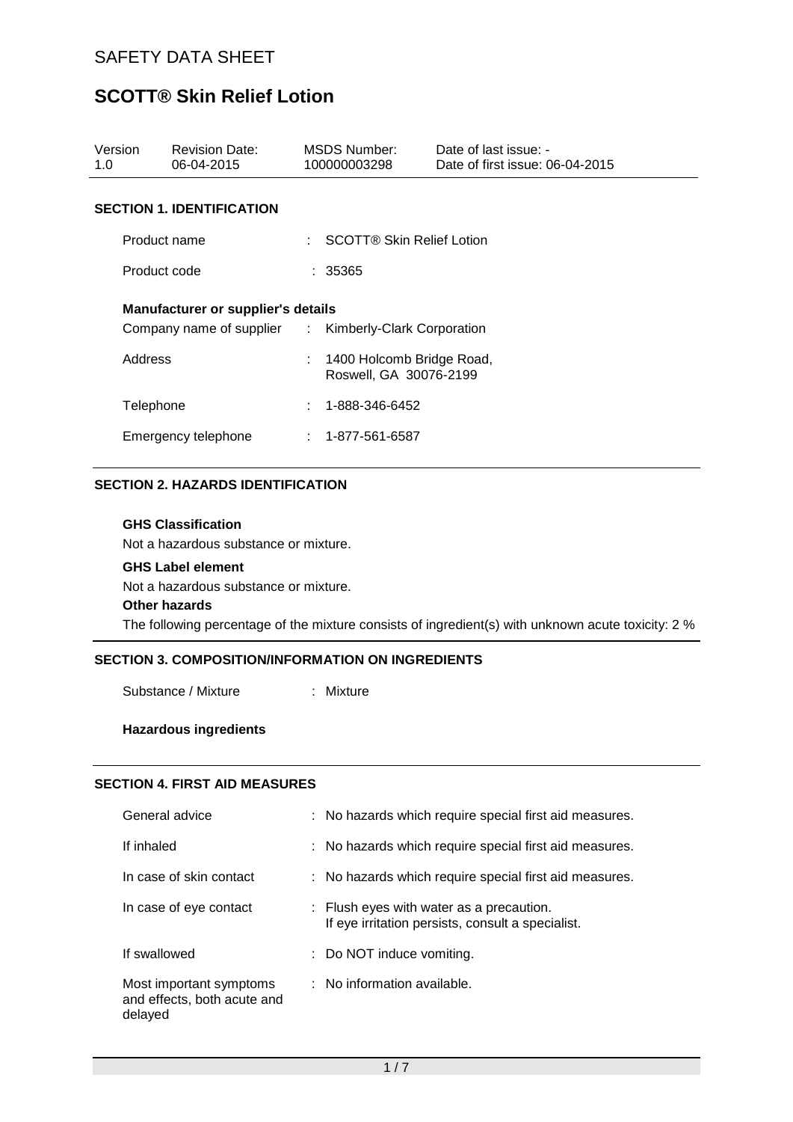| Version<br>1.0                                                                                     | <b>Revision Date:</b><br>06-04-2015 |   | MSDS Number:<br>100000003298                          | Date of last issue: -<br>Date of first issue: 06-04-2015 |  |  |  |  |
|----------------------------------------------------------------------------------------------------|-------------------------------------|---|-------------------------------------------------------|----------------------------------------------------------|--|--|--|--|
|                                                                                                    | <b>SECTION 1. IDENTIFICATION</b>    |   |                                                       |                                                          |  |  |  |  |
| Product name                                                                                       |                                     |   | <b>SCOTT® Skin Relief Lotion</b>                      |                                                          |  |  |  |  |
|                                                                                                    | Product code                        |   | : 35365                                               |                                                          |  |  |  |  |
| <b>Manufacturer or supplier's details</b><br>Company name of supplier : Kimberly-Clark Corporation |                                     |   |                                                       |                                                          |  |  |  |  |
| Address                                                                                            |                                     |   | : 1400 Holcomb Bridge Road,<br>Roswell, GA 30076-2199 |                                                          |  |  |  |  |
| Telephone                                                                                          |                                     | ÷ | 1-888-346-6452                                        |                                                          |  |  |  |  |
| Emergency telephone                                                                                |                                     |   | $: 1 - 877 - 561 - 6587$                              |                                                          |  |  |  |  |

## **SECTION 2. HAZARDS IDENTIFICATION**

#### **GHS Classification**

Not a hazardous substance or mixture.

#### **GHS Label element**

Not a hazardous substance or mixture.

#### **Other hazards**

The following percentage of the mixture consists of ingredient(s) with unknown acute toxicity: 2 %

#### **SECTION 3. COMPOSITION/INFORMATION ON INGREDIENTS**

Substance / Mixture : Mixture

## **Hazardous ingredients**

## **SECTION 4. FIRST AID MEASURES**

| General advice                                                    | : No hazards which require special first aid measures.                                                   |
|-------------------------------------------------------------------|----------------------------------------------------------------------------------------------------------|
| If inhaled                                                        | : No hazards which require special first aid measures.                                                   |
| In case of skin contact                                           | : No hazards which require special first aid measures.                                                   |
| In case of eye contact                                            | $\therefore$ Flush eyes with water as a precaution.<br>If eye irritation persists, consult a specialist. |
| If swallowed                                                      | : Do NOT induce vomiting.                                                                                |
| Most important symptoms<br>and effects, both acute and<br>delayed | : No information available.                                                                              |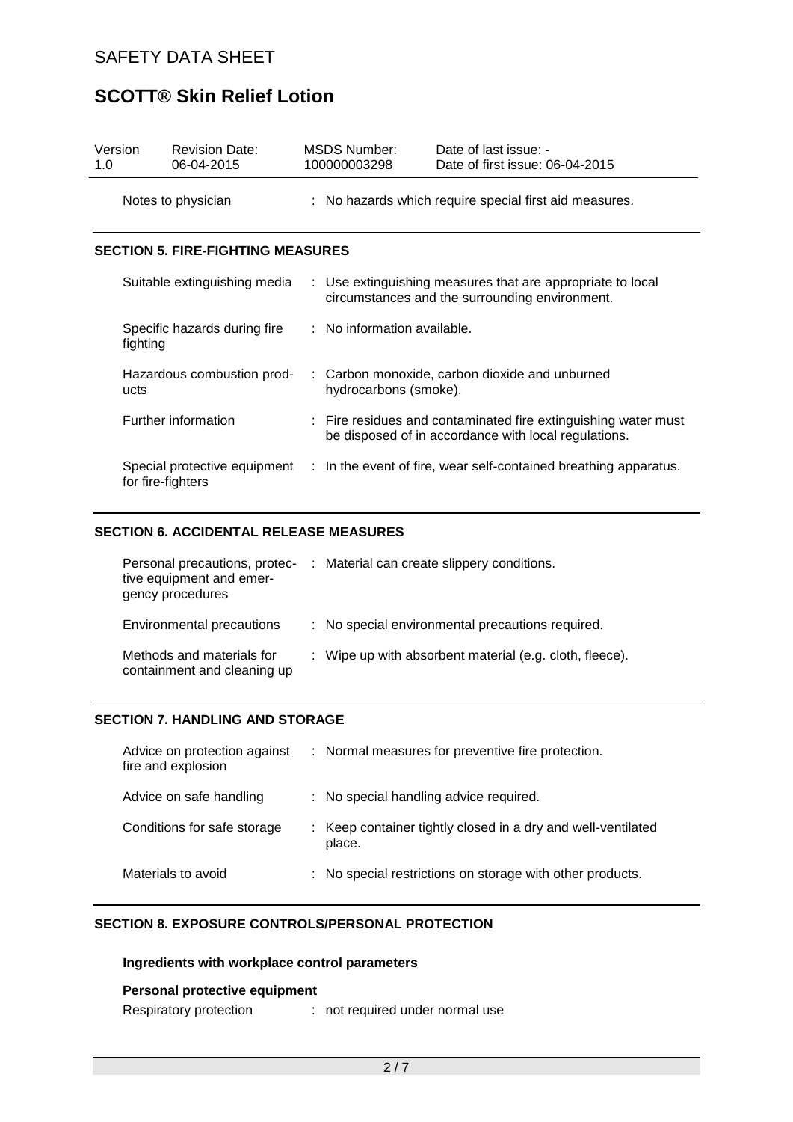| Version<br>1.0 |                                          | <b>Revision Date:</b><br>06-04-2015 |  | <b>MSDS Number:</b><br>100000003298 | Date of last issue: -<br>Date of first issue: 06-04-2015                                                               |  |
|----------------|------------------------------------------|-------------------------------------|--|-------------------------------------|------------------------------------------------------------------------------------------------------------------------|--|
|                |                                          | Notes to physician                  |  |                                     | : No hazards which require special first aid measures.                                                                 |  |
|                | <b>SECTION 5. FIRE-FIGHTING MEASURES</b> |                                     |  |                                     |                                                                                                                        |  |
|                |                                          | Suitable extinguishing media        |  |                                     | : Use extinguishing measures that are appropriate to local<br>circumstances and the surrounding environment.           |  |
|                | fighting                                 | Specific hazards during fire        |  | : No information available.         |                                                                                                                        |  |
|                | ucts                                     | Hazardous combustion prod-          |  | hydrocarbons (smoke).               | : Carbon monoxide, carbon dioxide and unburned                                                                         |  |
|                |                                          | Further information                 |  |                                     | : Fire residues and contaminated fire extinguishing water must<br>be disposed of in accordance with local regulations. |  |
|                | for fire-fighters                        | Special protective equipment        |  |                                     | : In the event of fire, wear self-contained breathing apparatus.                                                       |  |

### **SECTION 6. ACCIDENTAL RELEASE MEASURES**

| Personal precautions, protec-<br>tive equipment and emer-<br>gency procedures | : Material can create slippery conditions.              |
|-------------------------------------------------------------------------------|---------------------------------------------------------|
| Environmental precautions                                                     | : No special environmental precautions required.        |
| Methods and materials for<br>containment and cleaning up                      | : Wipe up with absorbent material (e.g. cloth, fleece). |

#### **SECTION 7. HANDLING AND STORAGE**

| Advice on protection against<br>fire and explosion | : Normal measures for preventive fire protection.                      |
|----------------------------------------------------|------------------------------------------------------------------------|
| Advice on safe handling                            | : No special handling advice required.                                 |
| Conditions for safe storage                        | : Keep container tightly closed in a dry and well-ventilated<br>place. |
| Materials to avoid                                 | : No special restrictions on storage with other products.              |

# **SECTION 8. EXPOSURE CONTROLS/PERSONAL PROTECTION**

# **Ingredients with workplace control parameters**

## **Personal protective equipment**

Respiratory protection : not required under normal use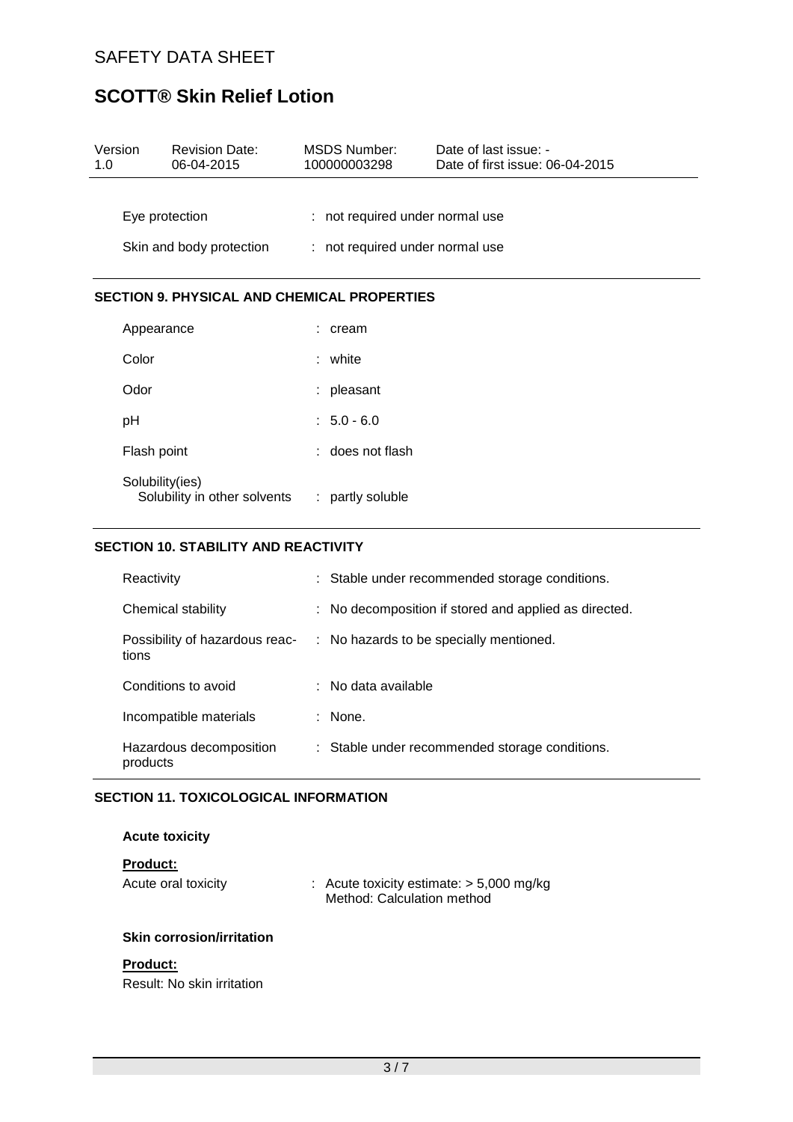| Version<br>1.0 | <b>Revision Date:</b><br>06-04-2015                |  | <b>MSDS Number:</b><br>100000003298                                | Date of last issue: -<br>Date of first issue: 06-04-2015 |  |
|----------------|----------------------------------------------------|--|--------------------------------------------------------------------|----------------------------------------------------------|--|
| Eye protection |                                                    |  | : not required under normal use<br>: not required under normal use |                                                          |  |
|                | Skin and body protection                           |  |                                                                    |                                                          |  |
|                | <b>SECTION 9. PHYSICAL AND CHEMICAL PROPERTIES</b> |  |                                                                    |                                                          |  |
|                | Appearance                                         |  | $:$ cream                                                          |                                                          |  |
| Color          |                                                    |  | : white                                                            |                                                          |  |
| Odor           |                                                    |  | : pleasant                                                         |                                                          |  |
| pH             |                                                    |  | $: 5.0 - 6.0$                                                      |                                                          |  |
|                | Flash point                                        |  | : does not flash                                                   |                                                          |  |

| Solubility(ies)<br>Solubility in other solvents | : partly soluble |
|-------------------------------------------------|------------------|
|                                                 |                  |

# **SECTION 10. STABILITY AND REACTIVITY**

| Reactivity                              | : Stable under recommended storage conditions.        |
|-----------------------------------------|-------------------------------------------------------|
| Chemical stability                      | : No decomposition if stored and applied as directed. |
| Possibility of hazardous reac-<br>tions | : No hazards to be specially mentioned.               |
| Conditions to avoid                     | $\therefore$ No data available                        |
| Incompatible materials                  | : None.                                               |
| Hazardous decomposition<br>products     | : Stable under recommended storage conditions.        |

## **SECTION 11. TOXICOLOGICAL INFORMATION**

#### **Acute toxicity**

# **Product:**

| Acute oral toxicity |  | : Acute toxicity estimate: $> 5,000$ mg/kg |
|---------------------|--|--------------------------------------------|
|                     |  | Method: Calculation method                 |

## **Skin corrosion/irritation**

#### **Product:**

Result: No skin irritation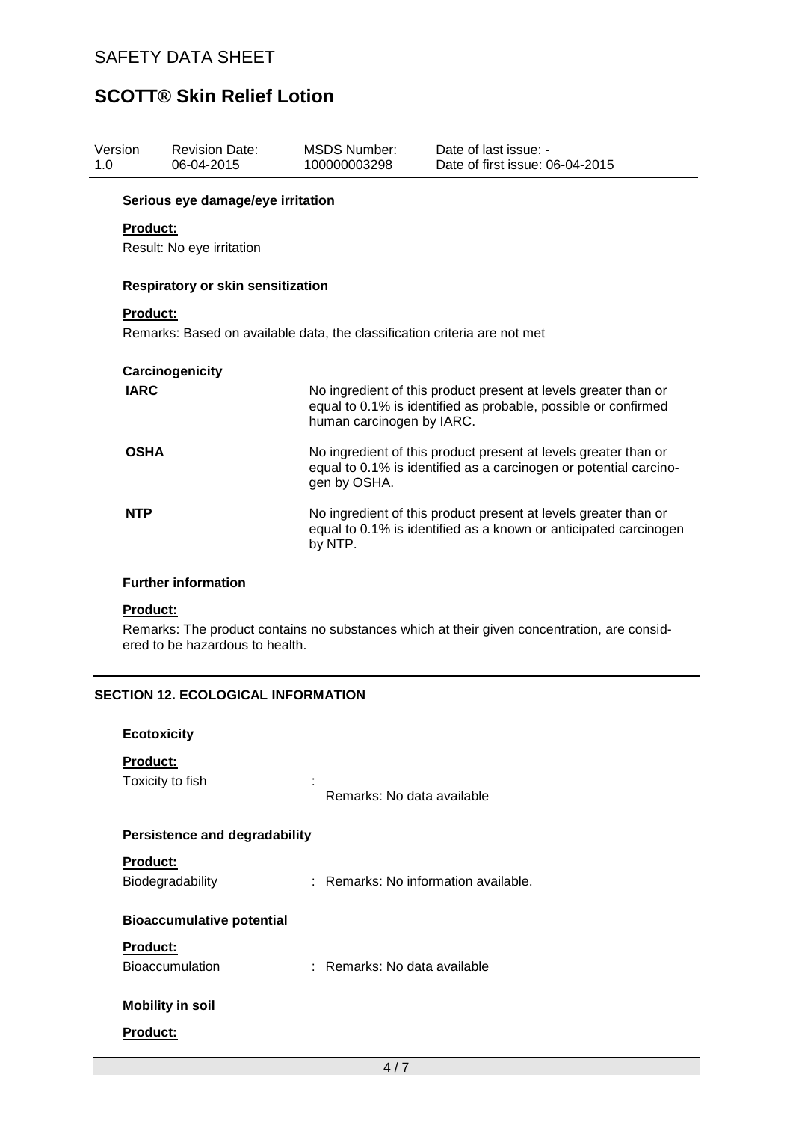| Version<br>1.0  | <b>Revision Date:</b><br>06-04-2015      | <b>MSDS Number:</b><br>100000003298                                       | Date of last issue: -<br>Date of first issue: 06-04-2015                                                                             |
|-----------------|------------------------------------------|---------------------------------------------------------------------------|--------------------------------------------------------------------------------------------------------------------------------------|
|                 | Serious eye damage/eye irritation        |                                                                           |                                                                                                                                      |
| <b>Product:</b> |                                          |                                                                           |                                                                                                                                      |
|                 | Result: No eye irritation                |                                                                           |                                                                                                                                      |
|                 | <b>Respiratory or skin sensitization</b> |                                                                           |                                                                                                                                      |
| <b>Product:</b> |                                          |                                                                           |                                                                                                                                      |
|                 |                                          | Remarks: Based on available data, the classification criteria are not met |                                                                                                                                      |
|                 |                                          |                                                                           |                                                                                                                                      |
|                 | Carcinogenicity                          |                                                                           |                                                                                                                                      |
| <b>IARC</b>     |                                          | human carcinogen by IARC.                                                 | No ingredient of this product present at levels greater than or<br>equal to 0.1% is identified as probable, possible or confirmed    |
| <b>OSHA</b>     |                                          | gen by OSHA.                                                              | No ingredient of this product present at levels greater than or<br>equal to 0.1% is identified as a carcinogen or potential carcino- |
| <b>NTP</b>      |                                          | by NTP.                                                                   | No ingredient of this product present at levels greater than or<br>equal to 0.1% is identified as a known or anticipated carcinogen  |
|                 | <b>Further information</b>               |                                                                           |                                                                                                                                      |
| <b>Product:</b> |                                          |                                                                           |                                                                                                                                      |
|                 | ered to be hazardous to health.          |                                                                           | Remarks: The product contains no substances which at their given concentration, are consid-                                          |

# **SECTION 12. ECOLOGICAL INFORMATION**

| <b>Ecotoxicity</b>                        |                                      |  |  |  |
|-------------------------------------------|--------------------------------------|--|--|--|
| <b>Product:</b><br>Toxicity to fish       | Remarks: No data available           |  |  |  |
| <b>Persistence and degradability</b>      |                                      |  |  |  |
| <b>Product:</b><br>Biodegradability       | : Remarks: No information available. |  |  |  |
| <b>Bioaccumulative potential</b>          |                                      |  |  |  |
| <b>Product:</b><br><b>Bioaccumulation</b> | : Remarks: No data available         |  |  |  |
| <b>Mobility in soil</b>                   |                                      |  |  |  |
| <b>Product:</b>                           |                                      |  |  |  |
|                                           | 4/7                                  |  |  |  |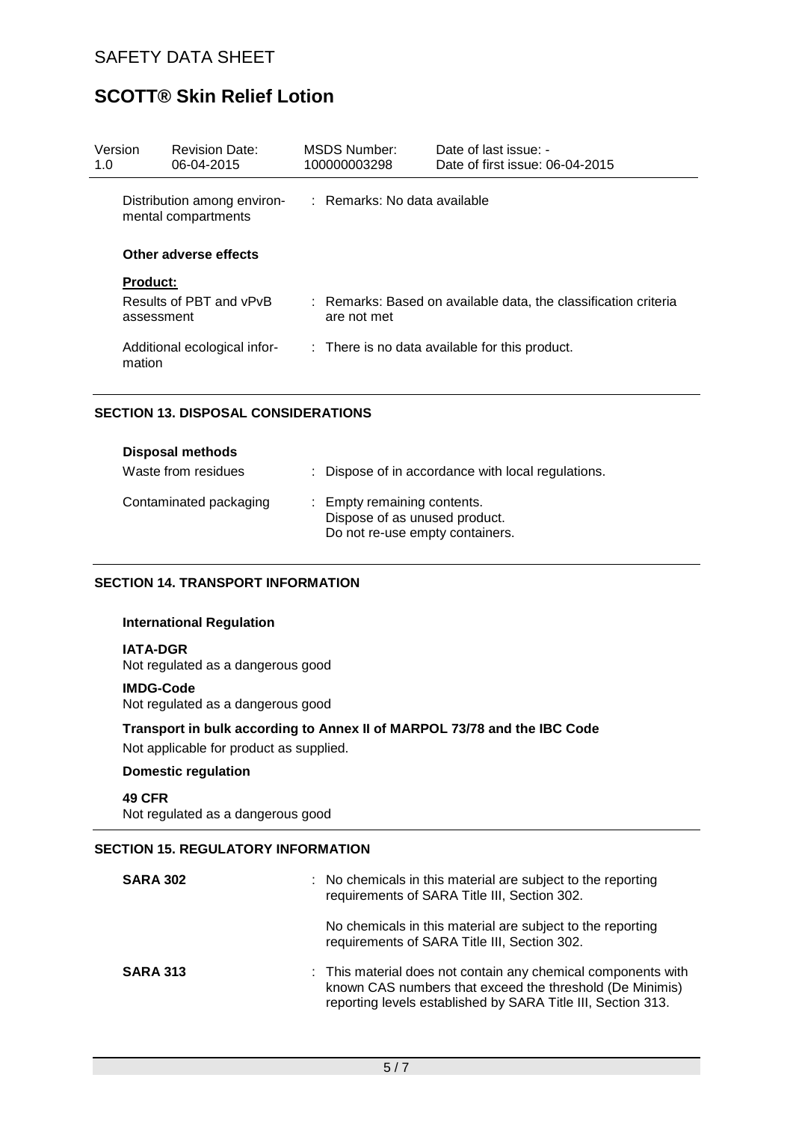| Version<br>1.0                                     | <b>Revision Date:</b><br>06-04-2015   | <b>MSDS Number:</b><br>100000003298 |             | Date of last issue: -<br>Date of first issue: 06-04-2015        |
|----------------------------------------------------|---------------------------------------|-------------------------------------|-------------|-----------------------------------------------------------------|
| Distribution among environ-<br>mental compartments |                                       | $:$ Remarks: No data available      |             |                                                                 |
| Other adverse effects                              |                                       |                                     |             |                                                                 |
|                                                    | <b>Product:</b>                       |                                     |             |                                                                 |
|                                                    | Results of PBT and vPvB<br>assessment |                                     | are not met | : Remarks: Based on available data, the classification criteria |
| mation                                             | Additional ecological infor-          |                                     |             | : There is no data available for this product.                  |

## **SECTION 13. DISPOSAL CONSIDERATIONS**

| <b>Disposal methods</b><br>Waste from residues | : Dispose of in accordance with local regulations.                                              |
|------------------------------------------------|-------------------------------------------------------------------------------------------------|
| Contaminated packaging                         | : Empty remaining contents.<br>Dispose of as unused product.<br>Do not re-use empty containers. |

# **SECTION 14. TRANSPORT INFORMATION**

#### **International Regulation**

**IATA-DGR**

Not regulated as a dangerous good

#### **IMDG-Code**

Not regulated as a dangerous good

**Transport in bulk according to Annex II of MARPOL 73/78 and the IBC Code** Not applicable for product as supplied.

#### **Domestic regulation**

**49 CFR** Not regulated as a dangerous good

## **SECTION 15. REGULATORY INFORMATION**

| <b>SARA 302</b> | : No chemicals in this material are subject to the reporting<br>requirements of SARA Title III, Section 302.                                                                              |
|-----------------|-------------------------------------------------------------------------------------------------------------------------------------------------------------------------------------------|
|                 | No chemicals in this material are subject to the reporting<br>requirements of SARA Title III, Section 302.                                                                                |
| <b>SARA 313</b> | : This material does not contain any chemical components with<br>known CAS numbers that exceed the threshold (De Minimis)<br>reporting levels established by SARA Title III, Section 313. |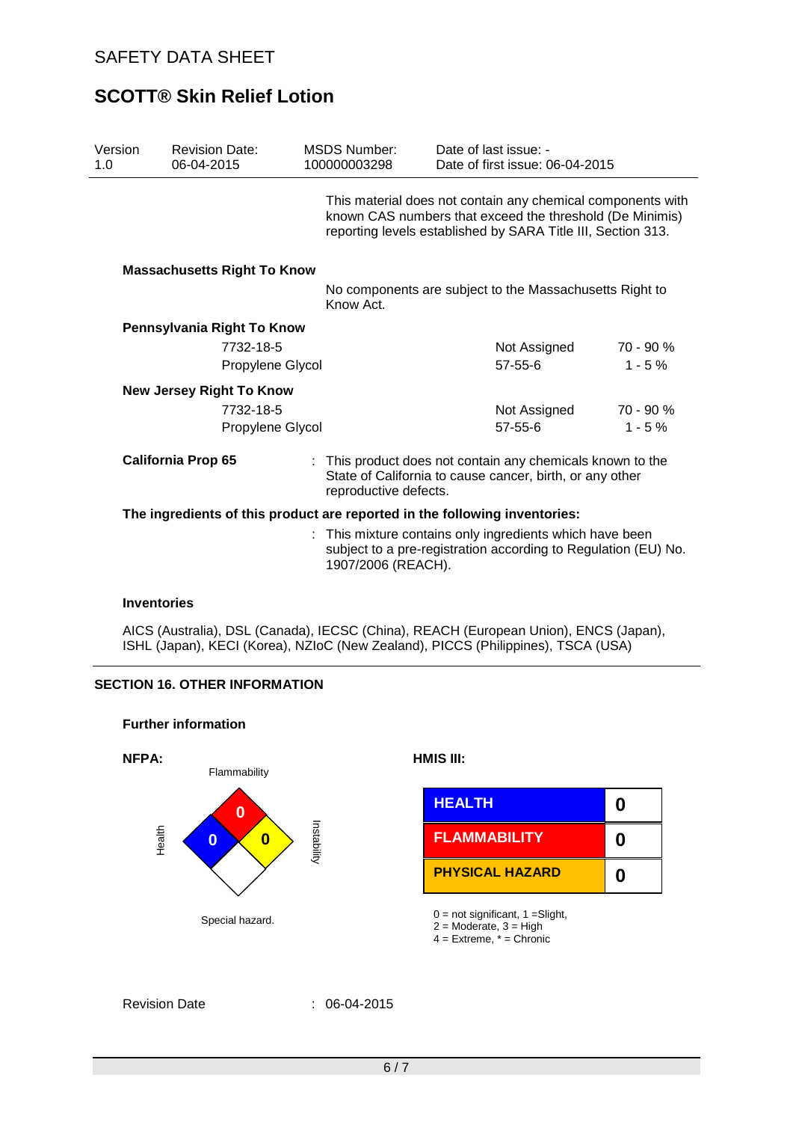$\overline{a}$ 

# **SCOTT® Skin Relief Lotion**

| Version<br>1.0 | <b>Revision Date:</b><br>06-04-2015                              | <b>MSDS Number:</b><br>100000003298 | Date of last issue: -<br>Date of first issue: 06-04-2015                                                                                                                                                                       |                       |  |
|----------------|------------------------------------------------------------------|-------------------------------------|--------------------------------------------------------------------------------------------------------------------------------------------------------------------------------------------------------------------------------|-----------------------|--|
|                |                                                                  |                                     | This material does not contain any chemical components with<br>known CAS numbers that exceed the threshold (De Minimis)<br>reporting levels established by SARA Title III, Section 313.                                        |                       |  |
|                | <b>Massachusetts Right To Know</b>                               | Know Act.                           | No components are subject to the Massachusetts Right to                                                                                                                                                                        |                       |  |
|                | Pennsylvania Right To Know<br>7732-18-5<br>Propylene Glycol      |                                     | Not Assigned<br>$57 - 55 - 6$                                                                                                                                                                                                  | 70 - 90 %<br>$1 - 5%$ |  |
|                | <b>New Jersey Right To Know</b><br>7732-18-5<br>Propylene Glycol |                                     | Not Assigned<br>$57 - 55 - 6$                                                                                                                                                                                                  | 70 - 90 %<br>$1 - 5%$ |  |
|                | <b>California Prop 65</b>                                        |                                     | : This product does not contain any chemicals known to the<br>State of California to cause cancer, birth, or any other<br>reproductive defects.                                                                                |                       |  |
|                |                                                                  |                                     | The ingredients of this product are reported in the following inventories:<br>: This mixture contains only ingredients which have been<br>subject to a pre-registration according to Regulation (EU) No.<br>1907/2006 (REACH). |                       |  |

#### **Inventories**

AICS (Australia), DSL (Canada), IECSC (China), REACH (European Union), ENCS (Japan), ISHL (Japan), KECI (Korea), NZIoC (New Zealand), PICCS (Philippines), TSCA (USA)

## **SECTION 16. OTHER INFORMATION**

**Further information**



| S<br>0<br>tability | <b>HEALTH</b>          |  |
|--------------------|------------------------|--|
|                    | <b>FLAMMABILITY</b>    |  |
|                    | <b>PHYSICAL HAZARD</b> |  |

4 = Extreme, \* = Chronic

```
Revision Date : 06-04-2015
```